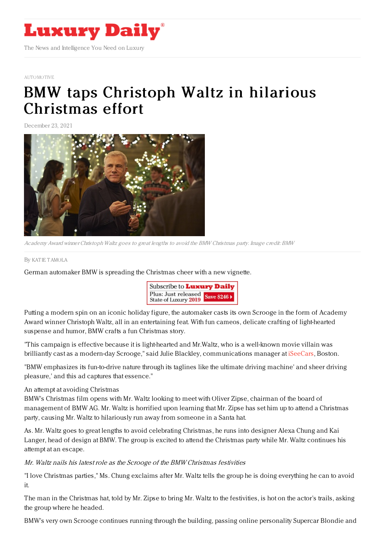

### [AUTOMOTIVE](https://www.luxurydaily.com/category/sectors/automotive-industry-sectors/)

# BMW taps [Christoph](https://www.luxurydaily.com/bmw-christmas-christoph-waltz/) Waltz in hilarious Christmas effort

December 23, 2021



Academy Award winner Christoph Waltz goes to great lengths to avoid the BMW Christmas party. Image credit: BMW

#### By KAT IE [TAMOLA](file:///author/katie-tamola)

German automaker BMW is spreading the Christmas cheer with a new vignette.



Putting a modern spin on an iconic holiday figure, the automaker casts its own Scrooge in the form of Academy Award winner Christoph Waltz, all in an entertaining feat. With fun cameos, delicate crafting of light-hearted suspense and humor, BMW crafts a fun Christmas story.

"This campaign is effective because it is light-hearted and Mr.Waltz, who is a well-known movie villain was brilliantly cast as a modern-day Scrooge," said Julie Blackley, communications manager at *[iSeeCars](http://www.iseecars.com)*, Boston.

"BMW emphasizes its fun-to-drive nature through its taglines like the ultimate driving machine' and sheer driving pleasure,' and this ad captures that essence."

## An attempt at avoiding Christmas

BMW's Christmas film opens with Mr. Waltz looking to meet with Oliver Zipse, chairman of the board of management of BMW AG. Mr. Waltz is horrified upon learning that Mr. Zipse has set him up to attend a Christmas party, causing Mr. Waltz to hilariously run away from someone in a Santa hat.

As. Mr. Waltz goes to great lengths to avoid celebrating Christmas, he runs into designer Alexa Chung and Kai Langer, head of design at BMW. The group is excited to attend the Christmas party while Mr. Waltz continues his attempt at an escape.

## Mr. Waltz nails his latest role as the Scrooge of the BMW Christmas festivities

"I love Christmas parties," Ms. Chung exclaims after Mr. Waltz tells the group he is doing everything he can to avoid it.

The man in the Christmas hat, told by Mr. Zipse to bring Mr. Waltz to the festivities, is hot on the actor's trails, asking the group where he headed.

BMW's very own Scrooge continues running through the building, passing online personality Supercar Blondie and